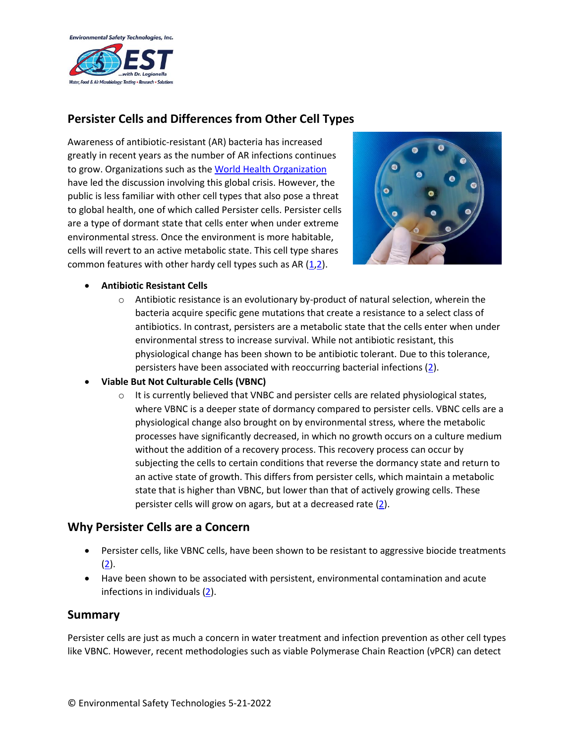

# **Persister Cells and Differences from Other Cell Types**

Awareness of antibiotic-resistant (AR) bacteria has increased greatly in recent years as the number of AR infections continues to grow. Organizations such as th[e World Health Organization](https://www.who.int/news-room/fact-sheets/detail/antibiotic-resistance) have led the discussion involving this global crisis. However, the public is less familiar with other cell types that also pose a threat to global health, one of which called Persister cells. Persister cells are a type of dormant state that cells enter when under extreme environmental stress. Once the environment is more habitable, cells will revert to an active metabolic state. This cell type shares common features with other hardy cell types such as AR [\(1](https://www.who.int/news-room/fact-sheets/detail/antibiotic-resistance)[,2\)](https://journals.asm.org/doi/10.1128/JB.00249-18).



#### • **Antibiotic Resistant Cells**

 $\circ$  Antibiotic resistance is an evolutionary by-product of natural selection, wherein the bacteria acquire specific gene mutations that create a resistance to a select class of antibiotics. In contrast, persisters are a metabolic state that the cells enter when under environmental stress to increase survival. While not antibiotic resistant, this physiological change has been shown to be antibiotic tolerant. Due to this tolerance, persisters have been associated with reoccurring bacterial infections [\(2\)](https://journals.asm.org/doi/10.1128/JB.00249-18).

#### • **Viable But Not Culturable Cells (VBNC)**

 $\circ$  It is currently believed that VNBC and persister cells are related physiological states, where VBNC is a deeper state of dormancy compared to persister cells. VBNC cells are a physiological change also brought on by environmental stress, where the metabolic processes have significantly decreased, in which no growth occurs on a culture medium without the addition of a recovery process. This recovery process can occur by subjecting the cells to certain conditions that reverse the dormancy state and return to an active state of growth. This differs from persister cells, which maintain a metabolic state that is higher than VBNC, but lower than that of actively growing cells. These persister cells will grow on agars, but at a decreased rate  $(2)$ .

### **Why Persister Cells are a Concern**

- Persister cells, like VBNC cells, have been shown to be resistant to aggressive biocide treatments  $(2).$  $(2).$
- Have been shown to be associated with persistent, environmental contamination and acute infections in individuals [\(2\)](https://journals.asm.org/doi/10.1128/JB.00249-18).

### **Summary**

Persister cells are just as much a concern in water treatment and infection prevention as other cell types like VBNC. However, recent methodologies such as viable Polymerase Chain Reaction (vPCR) can detect